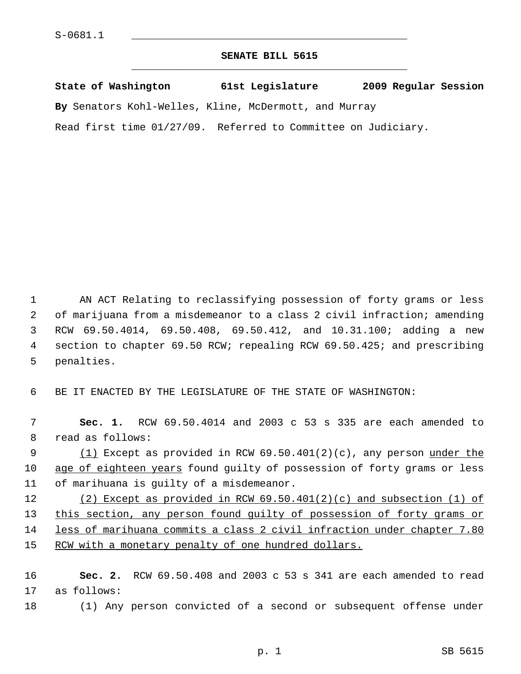## **SENATE BILL 5615** \_\_\_\_\_\_\_\_\_\_\_\_\_\_\_\_\_\_\_\_\_\_\_\_\_\_\_\_\_\_\_\_\_\_\_\_\_\_\_\_\_\_\_\_\_

**State of Washington 61st Legislature 2009 Regular Session**

**By** Senators Kohl-Welles, Kline, McDermott, and Murray

Read first time 01/27/09. Referred to Committee on Judiciary.

 1 AN ACT Relating to reclassifying possession of forty grams or less 2 of marijuana from a misdemeanor to a class 2 civil infraction; amending 3 RCW 69.50.4014, 69.50.408, 69.50.412, and 10.31.100; adding a new 4 section to chapter 69.50 RCW; repealing RCW 69.50.425; and prescribing 5 penalties.

6 BE IT ENACTED BY THE LEGISLATURE OF THE STATE OF WASHINGTON:

 7 **Sec. 1.** RCW 69.50.4014 and 2003 c 53 s 335 are each amended to 8 read as follows:

9  $(1)$  Except as provided in RCW 69.50.401(2)(c), any person under the 10 age of eighteen years found guilty of possession of forty grams or less 11 of marihuana is guilty of a misdemeanor.

12 (2) Except as provided in RCW  $69.50.401(2)(c)$  and subsection (1) of 13 this section, any person found guilty of possession of forty grams or 14 less of marihuana commits a class 2 civil infraction under chapter 7.80 15 RCW with a monetary penalty of one hundred dollars.

16 **Sec. 2.** RCW 69.50.408 and 2003 c 53 s 341 are each amended to read 17 as follows:

18 (1) Any person convicted of a second or subsequent offense under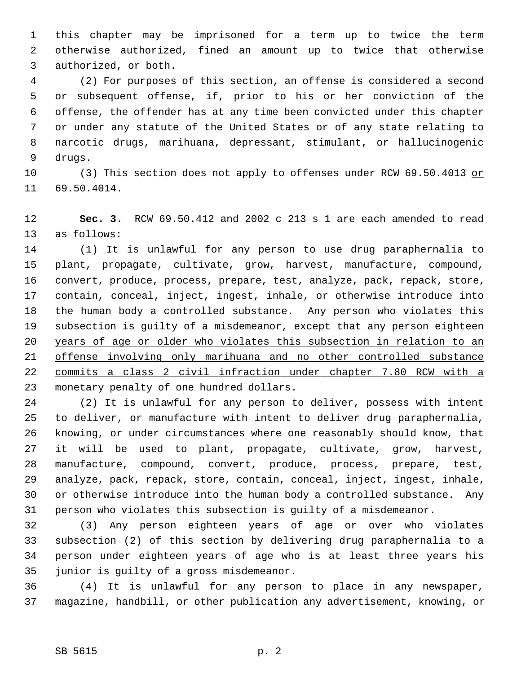1 this chapter may be imprisoned for a term up to twice the term 2 otherwise authorized, fined an amount up to twice that otherwise 3 authorized, or both.

 4 (2) For purposes of this section, an offense is considered a second 5 or subsequent offense, if, prior to his or her conviction of the 6 offense, the offender has at any time been convicted under this chapter 7 or under any statute of the United States or of any state relating to 8 narcotic drugs, marihuana, depressant, stimulant, or hallucinogenic 9 drugs.

10 (3) This section does not apply to offenses under RCW 69.50.4013 or 11 69.50.4014.

12 **Sec. 3.** RCW 69.50.412 and 2002 c 213 s 1 are each amended to read 13 as follows:

14 (1) It is unlawful for any person to use drug paraphernalia to 15 plant, propagate, cultivate, grow, harvest, manufacture, compound, 16 convert, produce, process, prepare, test, analyze, pack, repack, store, 17 contain, conceal, inject, ingest, inhale, or otherwise introduce into 18 the human body a controlled substance. Any person who violates this 19 subsection is guilty of a misdemeanor, except that any person eighteen 20 years of age or older who violates this subsection in relation to an 21 offense involving only marihuana and no other controlled substance 22 commits a class 2 civil infraction under chapter 7.80 RCW with a 23 monetary penalty of one hundred dollars.

24 (2) It is unlawful for any person to deliver, possess with intent 25 to deliver, or manufacture with intent to deliver drug paraphernalia, 26 knowing, or under circumstances where one reasonably should know, that 27 it will be used to plant, propagate, cultivate, grow, harvest, 28 manufacture, compound, convert, produce, process, prepare, test, 29 analyze, pack, repack, store, contain, conceal, inject, ingest, inhale, 30 or otherwise introduce into the human body a controlled substance. Any 31 person who violates this subsection is guilty of a misdemeanor.

32 (3) Any person eighteen years of age or over who violates 33 subsection (2) of this section by delivering drug paraphernalia to a 34 person under eighteen years of age who is at least three years his 35 junior is guilty of a gross misdemeanor.

36 (4) It is unlawful for any person to place in any newspaper, 37 magazine, handbill, or other publication any advertisement, knowing, or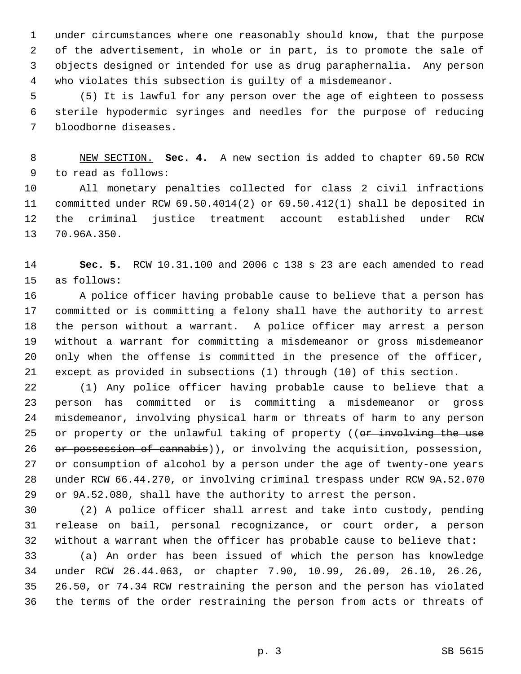1 under circumstances where one reasonably should know, that the purpose 2 of the advertisement, in whole or in part, is to promote the sale of 3 objects designed or intended for use as drug paraphernalia. Any person 4 who violates this subsection is guilty of a misdemeanor.

 5 (5) It is lawful for any person over the age of eighteen to possess 6 sterile hypodermic syringes and needles for the purpose of reducing 7 bloodborne diseases.

 8 NEW SECTION. **Sec. 4.** A new section is added to chapter 69.50 RCW 9 to read as follows:

10 All monetary penalties collected for class 2 civil infractions 11 committed under RCW 69.50.4014(2) or 69.50.412(1) shall be deposited in 12 the criminal justice treatment account established under RCW 13 70.96A.350.

14 **Sec. 5.** RCW 10.31.100 and 2006 c 138 s 23 are each amended to read 15 as follows:

16 A police officer having probable cause to believe that a person has 17 committed or is committing a felony shall have the authority to arrest 18 the person without a warrant. A police officer may arrest a person 19 without a warrant for committing a misdemeanor or gross misdemeanor 20 only when the offense is committed in the presence of the officer, 21 except as provided in subsections (1) through (10) of this section.

22 (1) Any police officer having probable cause to believe that a 23 person has committed or is committing a misdemeanor or gross 24 misdemeanor, involving physical harm or threats of harm to any person 25 or property or the unlawful taking of property ((or involving the use 26 or possession of cannabis)), or involving the acquisition, possession, 27 or consumption of alcohol by a person under the age of twenty-one years 28 under RCW 66.44.270, or involving criminal trespass under RCW 9A.52.070 29 or 9A.52.080, shall have the authority to arrest the person.

30 (2) A police officer shall arrest and take into custody, pending 31 release on bail, personal recognizance, or court order, a person 32 without a warrant when the officer has probable cause to believe that:

33 (a) An order has been issued of which the person has knowledge 34 under RCW 26.44.063, or chapter 7.90, 10.99, 26.09, 26.10, 26.26, 35 26.50, or 74.34 RCW restraining the person and the person has violated 36 the terms of the order restraining the person from acts or threats of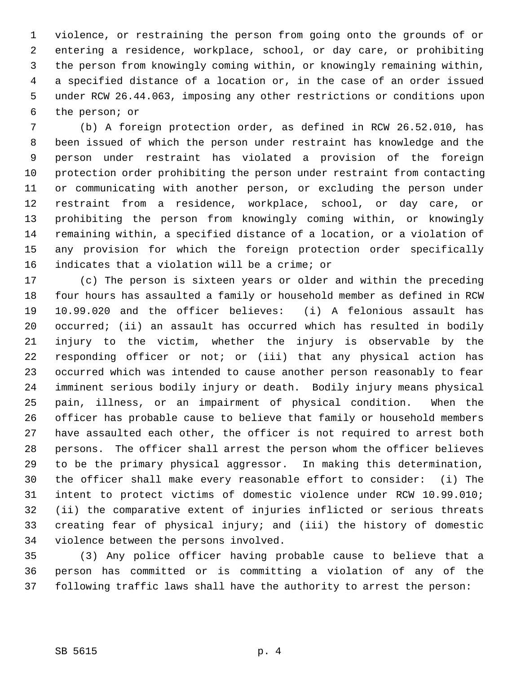1 violence, or restraining the person from going onto the grounds of or 2 entering a residence, workplace, school, or day care, or prohibiting 3 the person from knowingly coming within, or knowingly remaining within, 4 a specified distance of a location or, in the case of an order issued 5 under RCW 26.44.063, imposing any other restrictions or conditions upon 6 the person; or

 7 (b) A foreign protection order, as defined in RCW 26.52.010, has 8 been issued of which the person under restraint has knowledge and the 9 person under restraint has violated a provision of the foreign 10 protection order prohibiting the person under restraint from contacting 11 or communicating with another person, or excluding the person under 12 restraint from a residence, workplace, school, or day care, or 13 prohibiting the person from knowingly coming within, or knowingly 14 remaining within, a specified distance of a location, or a violation of 15 any provision for which the foreign protection order specifically 16 indicates that a violation will be a crime; or

17 (c) The person is sixteen years or older and within the preceding 18 four hours has assaulted a family or household member as defined in RCW 19 10.99.020 and the officer believes: (i) A felonious assault has 20 occurred; (ii) an assault has occurred which has resulted in bodily 21 injury to the victim, whether the injury is observable by the 22 responding officer or not; or (iii) that any physical action has 23 occurred which was intended to cause another person reasonably to fear 24 imminent serious bodily injury or death. Bodily injury means physical 25 pain, illness, or an impairment of physical condition. When the 26 officer has probable cause to believe that family or household members 27 have assaulted each other, the officer is not required to arrest both 28 persons. The officer shall arrest the person whom the officer believes 29 to be the primary physical aggressor. In making this determination, 30 the officer shall make every reasonable effort to consider: (i) The 31 intent to protect victims of domestic violence under RCW 10.99.010; 32 (ii) the comparative extent of injuries inflicted or serious threats 33 creating fear of physical injury; and (iii) the history of domestic 34 violence between the persons involved.

35 (3) Any police officer having probable cause to believe that a 36 person has committed or is committing a violation of any of the 37 following traffic laws shall have the authority to arrest the person: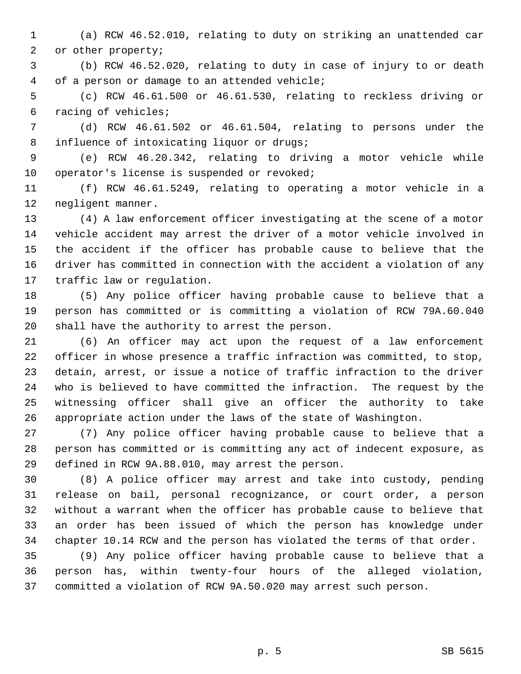1 (a) RCW 46.52.010, relating to duty on striking an unattended car 2 or other property;

 3 (b) RCW 46.52.020, relating to duty in case of injury to or death 4 of a person or damage to an attended vehicle;

 5 (c) RCW 46.61.500 or 46.61.530, relating to reckless driving or 6 racing of vehicles;

 7 (d) RCW 46.61.502 or 46.61.504, relating to persons under the 8 influence of intoxicating liquor or drugs;

 9 (e) RCW 46.20.342, relating to driving a motor vehicle while 10 operator's license is suspended or revoked;

11 (f) RCW 46.61.5249, relating to operating a motor vehicle in a 12 negligent manner.

13 (4) A law enforcement officer investigating at the scene of a motor 14 vehicle accident may arrest the driver of a motor vehicle involved in 15 the accident if the officer has probable cause to believe that the 16 driver has committed in connection with the accident a violation of any 17 traffic law or regulation.

18 (5) Any police officer having probable cause to believe that a 19 person has committed or is committing a violation of RCW 79A.60.040 20 shall have the authority to arrest the person.

21 (6) An officer may act upon the request of a law enforcement 22 officer in whose presence a traffic infraction was committed, to stop, 23 detain, arrest, or issue a notice of traffic infraction to the driver 24 who is believed to have committed the infraction. The request by the 25 witnessing officer shall give an officer the authority to take 26 appropriate action under the laws of the state of Washington.

27 (7) Any police officer having probable cause to believe that a 28 person has committed or is committing any act of indecent exposure, as 29 defined in RCW 9A.88.010, may arrest the person.

30 (8) A police officer may arrest and take into custody, pending 31 release on bail, personal recognizance, or court order, a person 32 without a warrant when the officer has probable cause to believe that 33 an order has been issued of which the person has knowledge under 34 chapter 10.14 RCW and the person has violated the terms of that order.

35 (9) Any police officer having probable cause to believe that a 36 person has, within twenty-four hours of the alleged violation, 37 committed a violation of RCW 9A.50.020 may arrest such person.